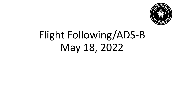

# Flight Following/ADS-B May 18, 2022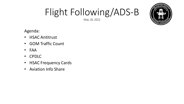May 18, 2022



Agenda:

- HSAC Antitrust
- GOM Traffic Count
- FAA
- CPDLC
- **HSAC Frequency Cards**
- Aviation Info Share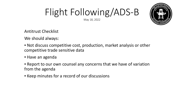May 18, 2022



Antitrust Checklist

We should always:

- Not discuss competitive cost, production, market analysis or other competitive trade sensitive data
- Have an agenda
- **EXE** Report to our own counsel any concerns that we have of variation from the agenda
- **EXECT MINUTER FORM AT A FECOLE OF STATE FIGG. F**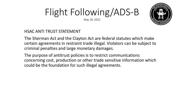May 18, 2022



#### HSAC ANTI TRUST STATEMENT

The Sherman Act and the Clayton Act are federal statutes which make certain agreements in restraint trade illegal. Violators can be subject to criminal penalties and large monetary damages.

The purpose of antitrust policies is to restrict communications concerning cost, production or other trade sensitive information which could be the foundation for such illegal agreements.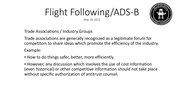#### Flight Following/ADS-B May 18, 2022

Trade Associations / Industry Groups

Trade associations are generally recognized as a legitimate forum for competitors to share ideas which promote the efficiency of the industry. Example:

**.** How to do things safer, better, more efficiently.

**EXT** However, any discussion which involves the use of cost information (even historical) or other competitive information should not take place without specific authorization of antitrust counsel.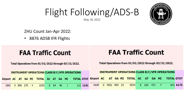May 18, 2022

ZHU Count Jan-Apr 2022:

• 8876 ADSB IFR Flights

### **FAA Traffic Count**

#### **FAA Traffic Count**

Total Operations from 01/01/2022 through 03/31/2022.

Total Operations from 01/01/2022 through 03/31/2022.

| <b>INSTRUMENT OPERATIONS CLASS B/C/VFR OPERATIONS</b> |                 |  |  |      |  |  |  |                            |  |          | <b>INSTRUMENT OPERATIONS CLASS B/C/VFR OPERATIONS</b> |                       |  |  |                  |  |  |  |  |                                                                                                   |          |
|-------------------------------------------------------|-----------------|--|--|------|--|--|--|----------------------------|--|----------|-------------------------------------------------------|-----------------------|--|--|------------------|--|--|--|--|---------------------------------------------------------------------------------------------------|----------|
|                                                       |                 |  |  |      |  |  |  |                            |  |          |                                                       |                       |  |  |                  |  |  |  |  | Airport AC AT GA MI TOTAL AC AT GA MI TOTAL GTOT Airport AC AT GA MI TOTAL AC AT GA MI TOTAL GTOT |          |
|                                                       | GAO 0 856 170 4 |  |  | 1030 |  |  |  | $0\quad 64\quad 46\quad 1$ |  | 111 1141 |                                                       | HUM  0  4551  959  24 |  |  | 5534 0 163 471 7 |  |  |  |  |                                                                                                   | 641 6175 |

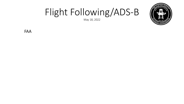

May 18, 2022